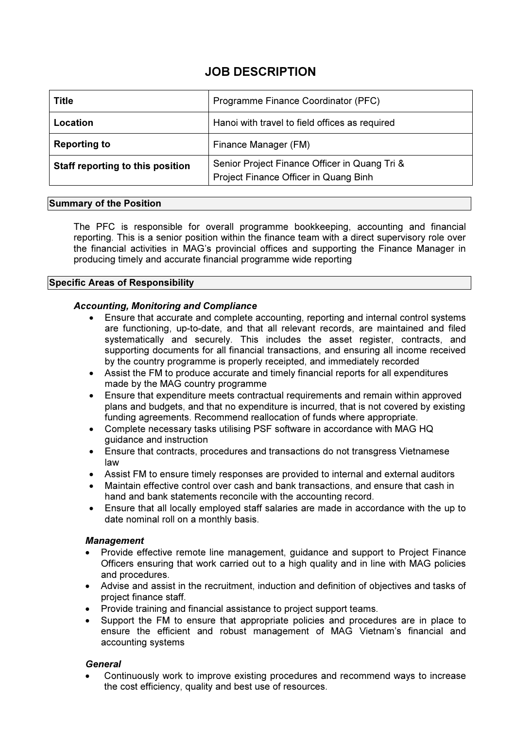# JOB DESCRIPTION

| <b>Title</b>                     | Programme Finance Coordinator (PFC)                                                    |
|----------------------------------|----------------------------------------------------------------------------------------|
| Location                         | Hanoi with travel to field offices as required                                         |
| <b>Reporting to</b>              | Finance Manager (FM)                                                                   |
| Staff reporting to this position | Senior Project Finance Officer in Quang Tri &<br>Project Finance Officer in Quang Binh |

## Summary of the Position

The PFC is responsible for overall programme bookkeeping, accounting and financial reporting. This is a senior position within the finance team with a direct supervisory role over the financial activities in MAG's provincial offices and supporting the Finance Manager in producing timely and accurate financial programme wide reporting

## Specific Areas of Responsibility

# Accounting, Monitoring and Compliance

- Ensure that accurate and complete accounting, reporting and internal control systems are functioning, up-to-date, and that all relevant records, are maintained and filed systematically and securely. This includes the asset register, contracts, and supporting documents for all financial transactions, and ensuring all income received by the country programme is properly receipted, and immediately recorded
- Assist the FM to produce accurate and timely financial reports for all expenditures made by the MAG country programme
- Ensure that expenditure meets contractual requirements and remain within approved plans and budgets, and that no expenditure is incurred, that is not covered by existing funding agreements. Recommend reallocation of funds where appropriate.
- Complete necessary tasks utilising PSF software in accordance with MAG HQ guidance and instruction
- Ensure that contracts, procedures and transactions do not transgress Vietnamese law
- Assist FM to ensure timely responses are provided to internal and external auditors
- Maintain effective control over cash and bank transactions, and ensure that cash in hand and bank statements reconcile with the accounting record.
- Ensure that all locally employed staff salaries are made in accordance with the up to date nominal roll on a monthly basis.

#### **Management**

- Provide effective remote line management, guidance and support to Project Finance Officers ensuring that work carried out to a high quality and in line with MAG policies and procedures.
- Advise and assist in the recruitment, induction and definition of objectives and tasks of project finance staff.
- Provide training and financial assistance to project support teams.
- Support the FM to ensure that appropriate policies and procedures are in place to ensure the efficient and robust management of MAG Vietnam's financial and accounting systems

#### **General**

• Continuously work to improve existing procedures and recommend ways to increase the cost efficiency, quality and best use of resources.